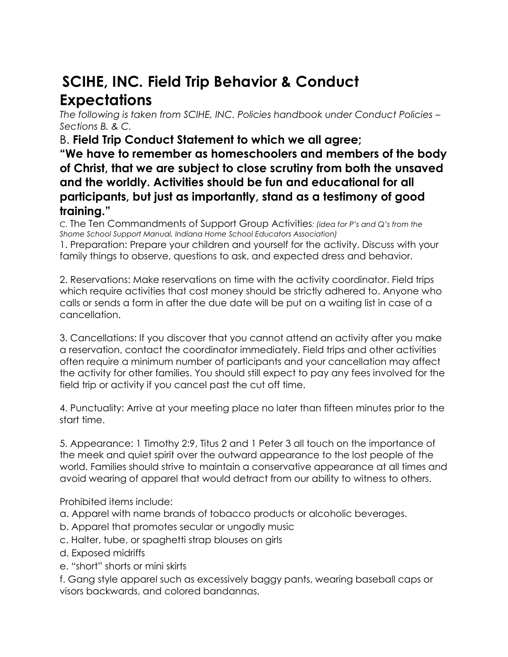## **SCIHE, INC. Field Trip Behavior & Conduct Expectations**

*The following is taken from SCIHE, INC. Policies handbook under Conduct Policies – Sections B. & C.* 

B. **Field Trip Conduct Statement to which we all agree;** 

**"We have to remember as homeschoolers and members of the body of Christ, that we are subject to close scrutiny from both the unsaved and the worldly. Activities should be fun and educational for all participants, but just as importantly, stand as a testimony of good training."** 

*C.* The Ten Commandments of Support Group Activities*: (idea for P's and Q's from the Shome School Support Manual, Indiana Home School Educators Association)* 

1. Preparation: Prepare your children and yourself for the activity. Discuss with your family things to observe, questions to ask, and expected dress and behavior.

2. Reservations: Make reservations on time with the activity coordinator. Field trips which require activities that cost money should be strictly adhered to. Anyone who calls or sends a form in after the due date will be put on a waiting list in case of a cancellation.

3. Cancellations: If you discover that you cannot attend an activity after you make a reservation, contact the coordinator immediately. Field trips and other activities often require a minimum number of participants and your cancellation may affect the activity for other families. You should still expect to pay any fees involved for the field trip or activity if you cancel past the cut off time.

4. Punctuality: Arrive at your meeting place no later than fifteen minutes prior to the start time.

5. Appearance: 1 Timothy 2:9, Titus 2 and 1 Peter 3 all touch on the importance of the meek and quiet spirit over the outward appearance to the lost people of the world. Families should strive to maintain a conservative appearance at all times and avoid wearing of apparel that would detract from our ability to witness to others.

Prohibited items include:

- a. Apparel with name brands of tobacco products or alcoholic beverages.
- b. Apparel that promotes secular or ungodly music
- c. Halter, tube, or spaghetti strap blouses on girls
- d. Exposed midriffs
- e. "short" shorts or mini skirts

f. Gang style apparel such as excessively baggy pants, wearing baseball caps or visors backwards, and colored bandannas.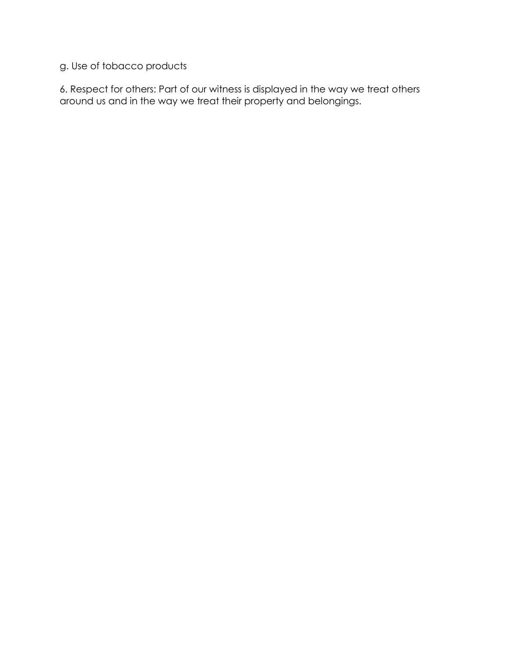## g. Use of tobacco products

6. Respect for others: Part of our witness is displayed in the way we treat others around us and in the way we treat their property and belongings.